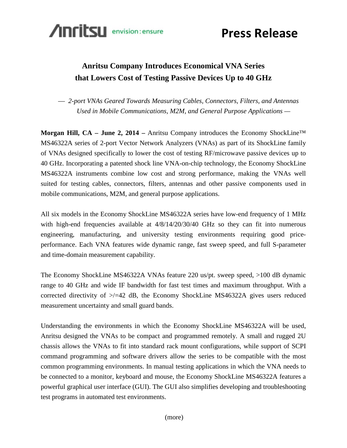

**Press Release**

## **Anritsu Company Introduces Economical VNA Series that Lowers Cost of Testing Passive Devices Up to 40 GHz**

— *2-port VNAs Geared Towards Measuring Cables, Connectors, Filters, and Antennas Used in Mobile Communications, M2M, and General Purpose Applications —*

**Morgan Hill, CA – June 2, 2014 –** Anritsu Company introduces the Economy ShockLine™ MS46322A series of 2-port Vector Network Analyzers (VNAs) as part of its ShockLine family of VNAs designed specifically to lower the cost of testing RF/microwave passive devices up to 40 GHz. Incorporating a patented shock line VNA-on-chip technology, the Economy ShockLine MS46322A instruments combine low cost and strong performance, making the VNAs well suited for testing cables, connectors, filters, antennas and other passive components used in mobile communications, M2M, and general purpose applications.

All six models in the Economy ShockLine MS46322A series have low-end frequency of 1 MHz with high-end frequencies available at  $4/8/14/20/30/40$  GHz so they can fit into numerous engineering, manufacturing, and university testing environments requiring good priceperformance. Each VNA features wide dynamic range, fast sweep speed, and full S-parameter and time-domain measurement capability.

The Economy ShockLine MS46322A VNAs feature 220 us/pt. sweep speed, >100 dB dynamic range to 40 GHz and wide IF bandwidth for fast test times and maximum throughput. With a corrected directivity of  $\ge$ /=42 dB, the Economy ShockLine MS46322A gives users reduced measurement uncertainty and small guard bands.

Understanding the environments in which the Economy ShockLine MS46322A will be used, Anritsu designed the VNAs to be compact and programmed remotely. A small and rugged 2U chassis allows the VNAs to fit into standard rack mount configurations, while support of SCPI command programming and software drivers allow the series to be compatible with the most common programming environments. In manual testing applications in which the VNA needs to be connected to a monitor, keyboard and mouse, the Economy ShockLine MS46322A features a powerful graphical user interface (GUI). The GUI also simplifies developing and troubleshooting test programs in automated test environments.